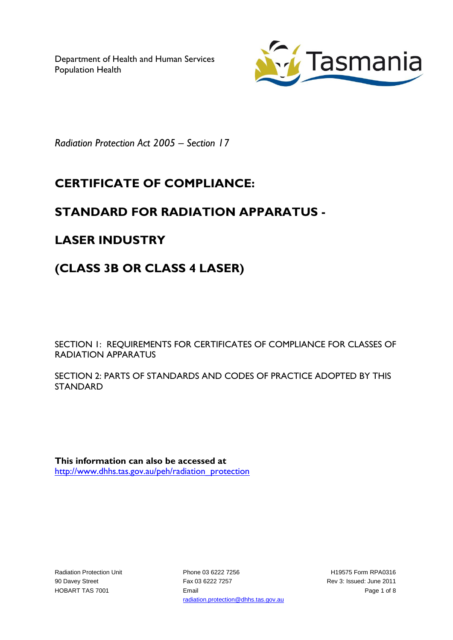Department of Health and Human Services Population Health



*Radiation Protection Act 2005 – Section 17*

# **CERTIFICATE OF COMPLIANCE:**

## **STANDARD FOR RADIATION APPARATUS -**

### **LASER INDUSTRY**

# **(CLASS 3B OR CLASS 4 LASER)**

SECTION 1: REQUIREMENTS FOR CERTIFICATES OF COMPLIANCE FOR CLASSES OF RADIATION APPARATUS

SECTION 2: PARTS OF STANDARDS AND CODES OF PRACTICE ADOPTED BY THIS STANDARD

**This information can also be accessed at** [http://www.dhhs.tas.gov.au/peh/radiation\\_protection](http://www.dhhs.tas.gov.au/peh/radiation_protection)

Radiation Protection Unit 90 Davey Street HOBART TAS 7001

Phone 03 6222 7256 Fax 03 6222 7257 Email radiation.protection@dhhs.tas.gov.au

H19575 Form RPA0316 Rev 3: Issued: June 2011 Page 1 of 8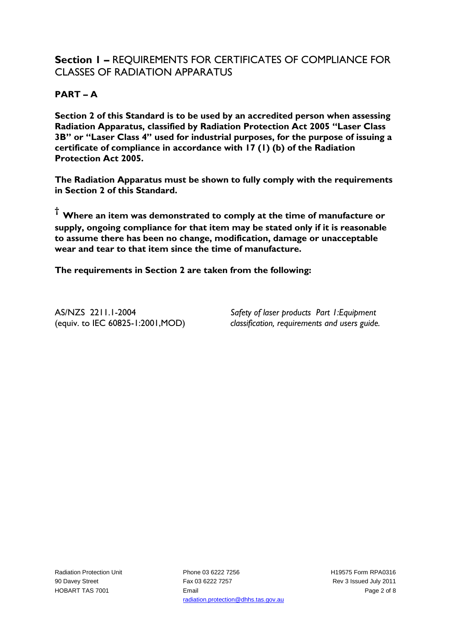#### **Section 1 –** REQUIREMENTS FOR CERTIFICATES OF COMPLIANCE FOR CLASSES OF RADIATION APPARATUS

#### **PART – A**

**Section 2 of this Standard is to be used by an accredited person when assessing Radiation Apparatus, classified by Radiation Protection Act 2005 "Laser Class 3B" or "Laser Class 4" used for industrial purposes, for the purpose of issuing a certificate of compliance in accordance with 17 (1) (b) of the Radiation Protection Act 2005.**

**The Radiation Apparatus must be shown to fully comply with the requirements in Section 2 of this Standard.**

**† Where an item was demonstrated to comply at the time of manufacture or supply, ongoing compliance for that item may be stated only if it is reasonable to assume there has been no change, modification, damage or unacceptable wear and tear to that item since the time of manufacture.** 

**The requirements in Section 2 are taken from the following:**

AS/NZS 2211.1-2004 (equiv. to IEC 60825-1:2001,MOD)

*Safety of laser products Part 1:Equipment classification, requirements and users guide.*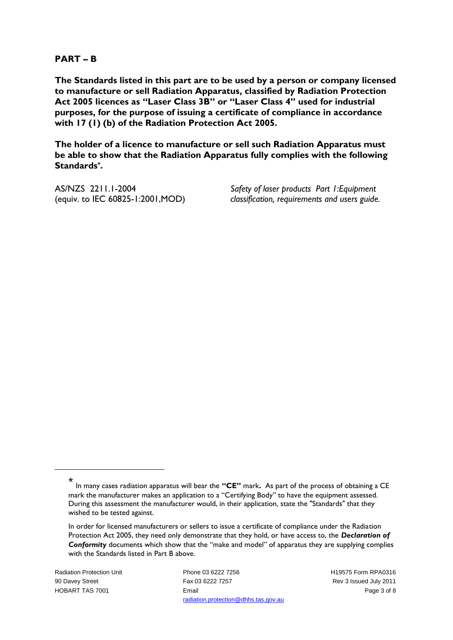#### **PART – B**

**The Standards listed in this part are to be used by a person or company licensed to manufacture or sell Radiation Apparatus, classified by Radiation Protection Act 2005 licences as "Laser Class 3B" or "Laser Class 4" used for industrial purposes, for the purpose of issuing a certificate of compliance in accordance with 17 (1) (b) of the Radiation Protection Act 2005.**

**The holder of a licence to manufacture or sell such Radiation Apparatus must be able to show that the Radiation Apparatus fully complies with the following Standards\* .**

AS/NZS 2211.1-2004 (equiv. to IEC 60825-1:2001,MOD)

*Safety of laser products Part 1:Equipment classification, requirements and users guide.*

1

Radiation Protection Unit 90 Davey Street HOBART TAS 7001

Phone 03 6222 7256 Fax 03 6222 7257 Email radiation.protection@dhhs.tas.gov.au H19575 Form RPA0316 Rev 3 Issued July 2011 Page 3 of 8

<sup>\*</sup> In many cases radiation apparatus will bear the **"CE"** mark**.** As part of the process of obtaining a CE mark the manufacturer makes an application to a "Certifying Body" to have the equipment assessed. During this assessment the manufacturer would, in their application, state the "Standards" that they wished to be tested against.

In order for licensed manufacturers or sellers to issue a certificate of compliance under the Radiation Protection Act 2005, they need only demonstrate that they hold, or have access to, the *Declaration of Conformity* documents which show that the "make and model" of apparatus they are supplying complies with the Standards listed in Part B above.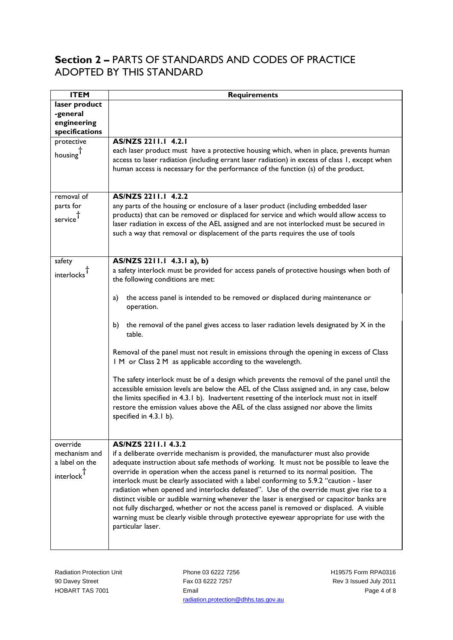### **Section 2 –** PARTS OF STANDARDS AND CODES OF PRACTICE ADOPTED BY THIS STANDARD

| <b>ITEM</b>                                                | <b>Requirements</b>                                                                                                                                                                                                                                                                                                                                                                                                                                                                                                                                                                                                                                                                                                                                                                                                                                                                                                                                   |
|------------------------------------------------------------|-------------------------------------------------------------------------------------------------------------------------------------------------------------------------------------------------------------------------------------------------------------------------------------------------------------------------------------------------------------------------------------------------------------------------------------------------------------------------------------------------------------------------------------------------------------------------------------------------------------------------------------------------------------------------------------------------------------------------------------------------------------------------------------------------------------------------------------------------------------------------------------------------------------------------------------------------------|
| laser product<br>-general<br>engineering<br>specifications |                                                                                                                                                                                                                                                                                                                                                                                                                                                                                                                                                                                                                                                                                                                                                                                                                                                                                                                                                       |
| protective<br>housing <sup>T</sup>                         | AS/NZS 2211.1 4.2.1<br>each laser product must have a protective housing which, when in place, prevents human<br>access to laser radiation (including errant laser radiation) in excess of class 1, except when<br>human access is necessary for the performance of the function (s) of the product.                                                                                                                                                                                                                                                                                                                                                                                                                                                                                                                                                                                                                                                  |
| removal of<br>parts for<br>service                         | AS/NZS 2211.1 4.2.2<br>any parts of the housing or enclosure of a laser product (including embedded laser<br>products) that can be removed or displaced for service and which would allow access to<br>laser radiation in excess of the AEL assigned and are not interlocked must be secured in<br>such a way that removal or displacement of the parts requires the use of tools                                                                                                                                                                                                                                                                                                                                                                                                                                                                                                                                                                     |
| safety<br>interlocks <sup>T</sup>                          | AS/NZS 2211.1 4.3.1 a), b)<br>a safety interlock must be provided for access panels of protective housings when both of<br>the following conditions are met:<br>the access panel is intended to be removed or displaced during maintenance or<br>a)<br>operation.<br>the removal of the panel gives access to laser radiation levels designated by $X$ in the<br>b)<br>table.<br>Removal of the panel must not result in emissions through the opening in excess of Class<br>I M or Class 2 M as applicable according to the wavelength.<br>The safety interlock must be of a design which prevents the removal of the panel until the<br>accessible emission levels are below the AEL of the Class assigned and, in any case, below<br>the limits specified in 4.3.1 b). Inadvertent resetting of the interlock must not in itself<br>restore the emission values above the AEL of the class assigned nor above the limits<br>specified in 4.3.1 b). |
| override<br>mechanism and<br>a label on the<br>interlock   | AS/NZS 2211.1 4.3.2<br>if a deliberate override mechanism is provided, the manufacturer must also provide<br>adequate instruction about safe methods of working. It must not be possible to leave the<br>override in operation when the access panel is returned to its normal position. The<br>interlock must be clearly associated with a label conforming to 5.9.2 "caution - laser<br>radiation when opened and interlocks defeated". Use of the override must give rise to a<br>distinct visible or audible warning whenever the laser is energised or capacitor banks are<br>not fully discharged, whether or not the access panel is removed or displaced. A visible<br>warning must be clearly visible through protective eyewear appropriate for use with the<br>particular laser.                                                                                                                                                           |

Phone 03 6222 7256 Fax 03 6222 7257 Email radiation.protection@dhhs.tas.gov.au H19575 Form RPA0316 Rev 3 Issued July 2011 Page 4 of 8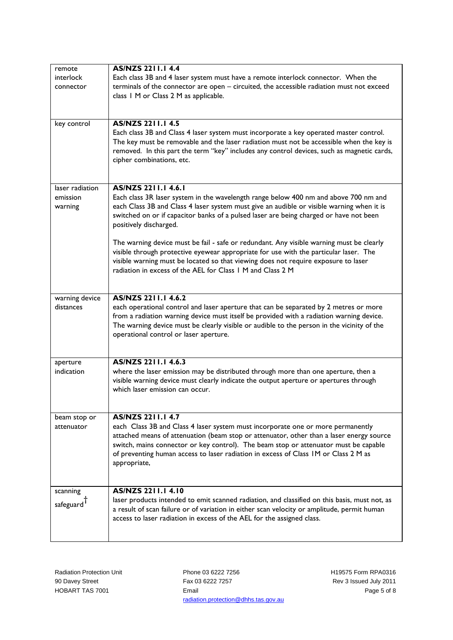| remote                 | <b>AS/NZS 2211.1 4.4</b>                                                                                                                                                            |
|------------------------|-------------------------------------------------------------------------------------------------------------------------------------------------------------------------------------|
| interlock              | Each class 3B and 4 laser system must have a remote interlock connector. When the                                                                                                   |
| connector              | terminals of the connector are open - circuited, the accessible radiation must not exceed                                                                                           |
|                        | class 1 M or Class 2 M as applicable.                                                                                                                                               |
|                        |                                                                                                                                                                                     |
|                        |                                                                                                                                                                                     |
| key control            | <b>AS/NZS 2211.1 4.5</b>                                                                                                                                                            |
|                        | Each class 3B and Class 4 laser system must incorporate a key operated master control.                                                                                              |
|                        | The key must be removable and the laser radiation must not be accessible when the key is                                                                                            |
|                        | removed. In this part the term "key" includes any control devices, such as magnetic cards,                                                                                          |
|                        | cipher combinations, etc.                                                                                                                                                           |
|                        |                                                                                                                                                                                     |
|                        | AS/NZS 2211.1 4.6.1                                                                                                                                                                 |
| laser radiation        |                                                                                                                                                                                     |
| emission               | Each class 3R laser system in the wavelength range below 400 nm and above 700 nm and                                                                                                |
| warning                | each Class 3B and Class 4 laser system must give an audible or visible warning when it is<br>switched on or if capacitor banks of a pulsed laser are being charged or have not been |
|                        | positively discharged.                                                                                                                                                              |
|                        |                                                                                                                                                                                     |
|                        | The warning device must be fail - safe or redundant. Any visible warning must be clearly                                                                                            |
|                        | visible through protective eyewear appropriate for use with the particular laser. The                                                                                               |
|                        | visible warning must be located so that viewing does not require exposure to laser                                                                                                  |
|                        | radiation in excess of the AEL for Class 1 M and Class 2 M                                                                                                                          |
|                        |                                                                                                                                                                                     |
|                        |                                                                                                                                                                                     |
| warning device         | AS/NZS 2211.1 4.6.2                                                                                                                                                                 |
| distances              | each operational control and laser aperture that can be separated by 2 metres or more                                                                                               |
|                        | from a radiation warning device must itself be provided with a radiation warning device.                                                                                            |
|                        | The warning device must be clearly visible or audible to the person in the vicinity of the                                                                                          |
|                        | operational control or laser aperture.                                                                                                                                              |
|                        |                                                                                                                                                                                     |
| aperture               | AS/NZS 2211.1 4.6.3                                                                                                                                                                 |
| indication             | where the laser emission may be distributed through more than one aperture, then a                                                                                                  |
|                        | visible warning device must clearly indicate the output aperture or apertures through                                                                                               |
|                        | which laser emission can occur.                                                                                                                                                     |
|                        |                                                                                                                                                                                     |
|                        |                                                                                                                                                                                     |
| beam stop or           | AS/NZS 2211.1 4.7                                                                                                                                                                   |
| attenuator             | each Class 3B and Class 4 laser system must incorporate one or more permanently                                                                                                     |
|                        | attached means of attenuation (beam stop or attenuator, other than a laser energy source                                                                                            |
|                        | switch, mains connector or key control). The beam stop or attenuator must be capable                                                                                                |
|                        | of preventing human access to laser radiation in excess of Class IM or Class 2 M as                                                                                                 |
|                        | appropriate,                                                                                                                                                                        |
|                        |                                                                                                                                                                                     |
| scanning               | AS/NZS 2211.1 4.10                                                                                                                                                                  |
|                        | laser products intended to emit scanned radiation, and classified on this basis, must not, as                                                                                       |
| safeguard <sup>1</sup> | a result of scan failure or of variation in either scan velocity or amplitude, permit human                                                                                         |
|                        | access to laser radiation in excess of the AEL for the assigned class.                                                                                                              |
|                        |                                                                                                                                                                                     |
|                        |                                                                                                                                                                                     |

Phone 03 6222 7256 Fax 03 6222 7257 Email radiation.protection@dhhs.tas.gov.au H19575 Form RPA0316 Rev 3 Issued July 2011 Page 5 of 8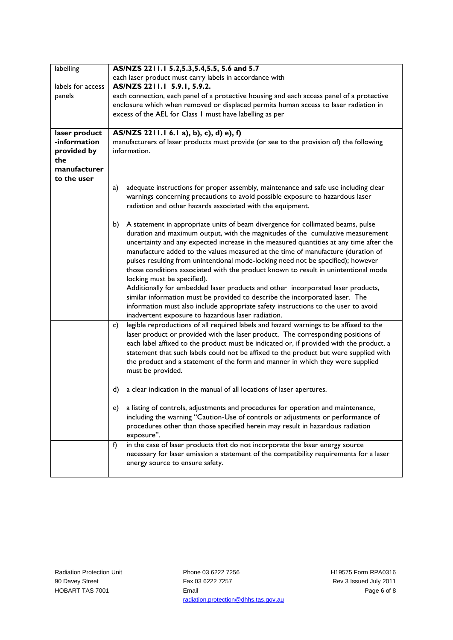| labelling<br>labels for access<br>panels<br>laser product<br>-information<br>provided by<br>the | AS/NZS 2211.1 5.2,5.3,5.4,5.5, 5.6 and 5.7<br>each laser product must carry labels in accordance with<br>AS/NZS 2211.1 5.9.1, 5.9.2.<br>each connection, each panel of a protective housing and each access panel of a protective<br>enclosure which when removed or displaced permits human access to laser radiation in<br>excess of the AEL for Class 1 must have labelling as per<br>AS/NZS 2211.1 6.1 a), b), c), d) e), f)<br>manufacturers of laser products must provide (or see to the provision of) the following<br>information.                                                                                                                                                                                                                                                                                                                                                                                                                                                                                                                                                                               |
|-------------------------------------------------------------------------------------------------|---------------------------------------------------------------------------------------------------------------------------------------------------------------------------------------------------------------------------------------------------------------------------------------------------------------------------------------------------------------------------------------------------------------------------------------------------------------------------------------------------------------------------------------------------------------------------------------------------------------------------------------------------------------------------------------------------------------------------------------------------------------------------------------------------------------------------------------------------------------------------------------------------------------------------------------------------------------------------------------------------------------------------------------------------------------------------------------------------------------------------|
| manufacturer<br>to the user                                                                     | adequate instructions for proper assembly, maintenance and safe use including clear<br>a)<br>warnings concerning precautions to avoid possible exposure to hazardous laser<br>radiation and other hazards associated with the equipment.<br>A statement in appropriate units of beam divergence for collimated beams, pulse<br>b)<br>duration and maximum output, with the magnitudes of the cumulative measurement<br>uncertainty and any expected increase in the measured quantities at any time after the<br>manufacture added to the values measured at the time of manufacture (duration of<br>pulses resulting from unintentional mode-locking need not be specified); however<br>those conditions associated with the product known to result in unintentional mode<br>locking must be specified).<br>Additionally for embedded laser products and other incorporated laser products,<br>similar information must be provided to describe the incorporated laser. The<br>information must also include appropriate safety instructions to the user to avoid<br>inadvertent exposure to hazardous laser radiation. |
|                                                                                                 | legible reproductions of all required labels and hazard warnings to be affixed to the<br>c)<br>laser product or provided with the laser product. The corresponding positions of<br>each label affixed to the product must be indicated or, if provided with the product, a<br>statement that such labels could not be affixed to the product but were supplied with<br>the product and a statement of the form and manner in which they were supplied<br>must be provided.                                                                                                                                                                                                                                                                                                                                                                                                                                                                                                                                                                                                                                                |
|                                                                                                 | a clear indication in the manual of all locations of laser apertures.<br>d)<br>a listing of controls, adjustments and procedures for operation and maintenance,<br>e).<br>including the warning "Caution-Use of controls or adjustments or performance of<br>procedures other than those specified herein may result in hazardous radiation<br>exposure".                                                                                                                                                                                                                                                                                                                                                                                                                                                                                                                                                                                                                                                                                                                                                                 |
|                                                                                                 | in the case of laser products that do not incorporate the laser energy source<br>f)<br>necessary for laser emission a statement of the compatibility requirements for a laser<br>energy source to ensure safety.                                                                                                                                                                                                                                                                                                                                                                                                                                                                                                                                                                                                                                                                                                                                                                                                                                                                                                          |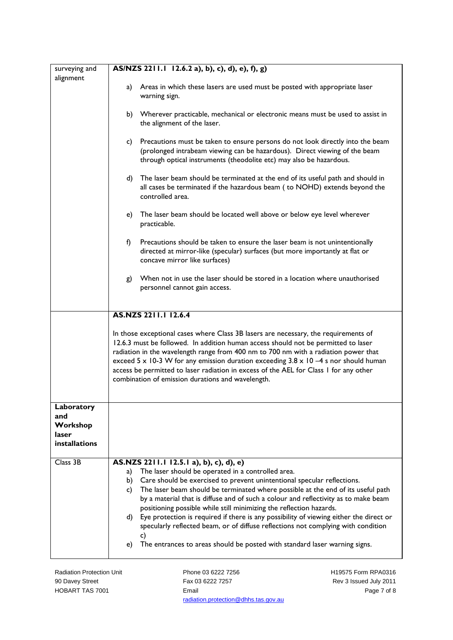| surveying and<br>alignment | AS/NZS 2211.1 12.6.2 a), b), c), d), e), f), g)                                                                                                                                                                                                                                                                                                                                                                                                                                                                |
|----------------------------|----------------------------------------------------------------------------------------------------------------------------------------------------------------------------------------------------------------------------------------------------------------------------------------------------------------------------------------------------------------------------------------------------------------------------------------------------------------------------------------------------------------|
|                            | Areas in which these lasers are used must be posted with appropriate laser<br>a)<br>warning sign.                                                                                                                                                                                                                                                                                                                                                                                                              |
|                            | b) Wherever practicable, mechanical or electronic means must be used to assist in<br>the alignment of the laser.                                                                                                                                                                                                                                                                                                                                                                                               |
|                            | Precautions must be taken to ensure persons do not look directly into the beam<br>C)<br>(prolonged intrabeam viewing can be hazardous). Direct viewing of the beam<br>through optical instruments (theodolite etc) may also be hazardous.                                                                                                                                                                                                                                                                      |
|                            | d)<br>The laser beam should be terminated at the end of its useful path and should in<br>all cases be terminated if the hazardous beam (to NOHD) extends beyond the<br>controlled area.                                                                                                                                                                                                                                                                                                                        |
|                            | The laser beam should be located well above or below eye level wherever<br>e)<br>practicable.                                                                                                                                                                                                                                                                                                                                                                                                                  |
|                            | f)<br>Precautions should be taken to ensure the laser beam is not unintentionally<br>directed at mirror-like (specular) surfaces (but more importantly at flat or<br>concave mirror like surfaces)                                                                                                                                                                                                                                                                                                             |
|                            | When not in use the laser should be stored in a location where unauthorised<br>g)<br>personnel cannot gain access.                                                                                                                                                                                                                                                                                                                                                                                             |
|                            | AS.NZS 2211.1 12.6.4                                                                                                                                                                                                                                                                                                                                                                                                                                                                                           |
|                            | In those exceptional cases where Class 3B lasers are necessary, the requirements of<br>12.6.3 must be followed. In addition human access should not be permitted to laser<br>radiation in the wavelength range from 400 nm to 700 nm with a radiation power that<br>exceed 5 x 10-3 W for any emission duration exceeding $3.8 \times 10 - 4$ s nor should human<br>access be permitted to laser radiation in excess of the AEL for Class I for any other<br>combination of emission durations and wavelength. |
| Laboratory                 |                                                                                                                                                                                                                                                                                                                                                                                                                                                                                                                |
| and<br>Workshop            |                                                                                                                                                                                                                                                                                                                                                                                                                                                                                                                |
| laser<br>installations     |                                                                                                                                                                                                                                                                                                                                                                                                                                                                                                                |
| Class 3B                   | AS.NZS 2211.1 12.5.1 a), b), c), d), e)                                                                                                                                                                                                                                                                                                                                                                                                                                                                        |
|                            | The laser should be operated in a controlled area.<br>a)<br>Care should be exercised to prevent unintentional specular reflections.<br>b)                                                                                                                                                                                                                                                                                                                                                                      |
|                            | The laser beam should be terminated where possible at the end of its useful path<br>c)                                                                                                                                                                                                                                                                                                                                                                                                                         |
|                            | by a material that is diffuse and of such a colour and reflectivity as to make beam                                                                                                                                                                                                                                                                                                                                                                                                                            |
|                            | positioning possible while still minimizing the reflection hazards.<br>Eye protection is required if there is any possibility of viewing either the direct or<br>d)<br>specularly reflected beam, or of diffuse reflections not complying with condition<br>c)                                                                                                                                                                                                                                                 |
|                            | The entrances to areas should be posted with standard laser warning signs.<br>e)                                                                                                                                                                                                                                                                                                                                                                                                                               |
|                            |                                                                                                                                                                                                                                                                                                                                                                                                                                                                                                                |

Radiation Protection Unit 90 Davey Street HOBART TAS 7001

Phone 03 6222 7256 Fax 03 6222 7257 Email radiation.protection@dhhs.tas.gov.au H19575 Form RPA0316 Rev 3 Issued July 2011 Page 7 of 8